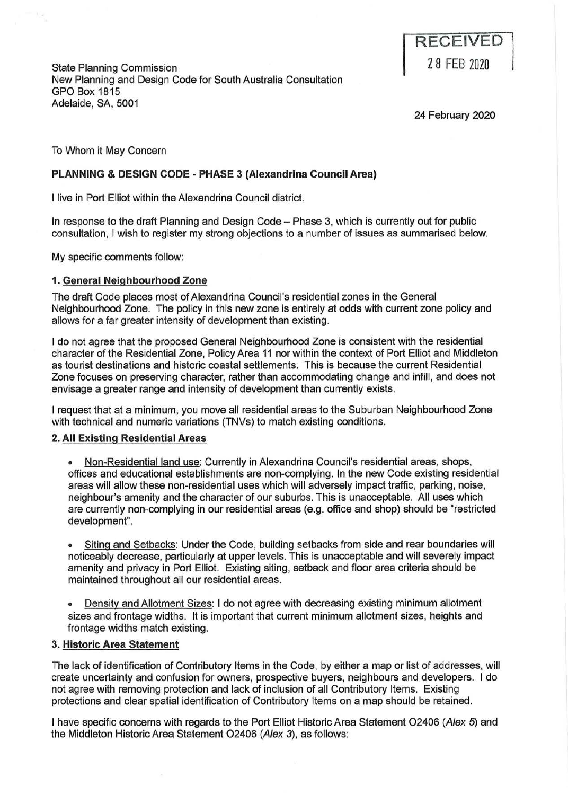State Planning Commission New Planning and Design Code for South Australia Consultation GPO Box 1815 Adelaide, SA, 5001

**RECEIVED**  2 8 FEB ZOZO

24 February 2020

To Whom it May Concern

# **PLANNING & DESIGN CODE · PHASE 3 (Alexandrina Council Area)**

I live in Port Elliot within the Alexandrina Council district.

In response to the draft Planning and Design Code - Phase 3, which is currently out for public consultation, I wish to register my strong objections to a number of issues as summarised below.

My specific comments follow:

## **1. General Neighbourhood Zone**

The draft Code places most of Alexandrina Council's residential zones in the General Neighbourhood Zone. The policy in this new zone is entirely at odds with current zone policy and allows for a far greater intensity of development than existing.

I do not agree that the proposed General Neighbourhood Zone is consistent with the residential character of the Residential Zone, Policy Area 11 nor within the context of Port Elliot and Middleton as tourist destinations and historic coastal settlements. This is because the current Residential Zone focuses on preserving character, rather than accommodating change and infill, and does not envisage a greater range and intensity of development than currently exists.

I request that at a minimum, you move all residential areas to the Suburban Neighbourhood Zone with technical and numeric variations (TNVs) to match existing conditions.

#### **2. All Existing Residential Areas**

• Non-Residential land use: Currently in Alexandrina Council's residential areas, shops, offices and educational establishments are non-complying. In the new Code existing residential areas will allow these non-residential uses which will adversely impact traffic, parking, noise, neighbour's amenity and the character of our suburbs. This is unacceptable. All uses which are currently non-complying in our residential areas (e.g. office and shop) should be "restricted development".

• Siting and Setbacks: Under the Code, building setbacks from side and rear boundaries will noticeably decrease, particularly at upper levels. This is unacceptable and will severely impact amenity and privacy in Port Elliot. Existing siting, setback and floor area criteria should be maintained throughout all our residential areas.

• Density and Allotment Sizes: I do not agree with decreasing existing minimum allotment sizes and frontage widths. It is important that current minimum allotment sizes, heights and frontage widths match existing.

#### **3. Historic Area Statement**

The lack of identification of Contributory Items in the Code, by either a map or list of addresses, will create uncertainty and confusion for owners, prospective buyers, neighbours and developers. I do not agree with removing protection and lack of inclusion of all Contributory Items. Existing protections and clear spatial identification of Contributory Items on a map should be retained.

I have specific concerns with regards to the Port Elliot Historic Area Statement 02406 (Alex *5)* and the Middleton Historic Area Statement 02406 (Alex 3), as follows: